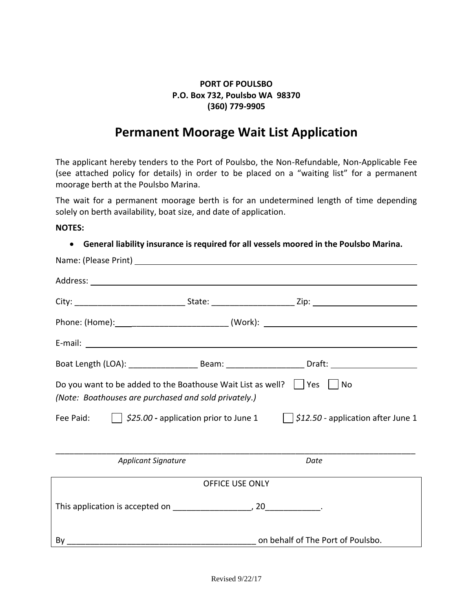### **PORT OF POULSBO P.O. Box 732, Poulsbo WA 98370 (360) 779-9905**

# **Permanent Moorage Wait List Application**

The applicant hereby tenders to the Port of Poulsbo, the Non-Refundable, Non-Applicable Fee (see attached policy for details) in order to be placed on a "waiting list" for a permanent moorage berth at the Poulsbo Marina.

The wait for a permanent moorage berth is for an undetermined length of time depending solely on berth availability, boat size, and date of application.

#### **NOTES:**

**General liability insurance is required for all vessels moored in the Poulsbo Marina.**

|                                                                                                                                                                                                                                                                      |  | Boat Length (LOA): ___________________________Beam: ________________________Draft: ___________________________ |
|----------------------------------------------------------------------------------------------------------------------------------------------------------------------------------------------------------------------------------------------------------------------|--|----------------------------------------------------------------------------------------------------------------|
| Do you want to be added to the Boathouse Wait List as well? $\vert \vert$ Yes $\vert \vert$ No<br>(Note: Boathouses are purchased and sold privately.)<br>Fee Paid: $\vert$ $\vert$ \$25.00 - application prior to June 1 $\vert$ \$12.50 - application after June 1 |  |                                                                                                                |
| <b>Applicant Signature</b>                                                                                                                                                                                                                                           |  | Date                                                                                                           |
| <b>OFFICE USE ONLY</b>                                                                                                                                                                                                                                               |  |                                                                                                                |
|                                                                                                                                                                                                                                                                      |  |                                                                                                                |
|                                                                                                                                                                                                                                                                      |  | on behalf of The Port of Poulsbo.                                                                              |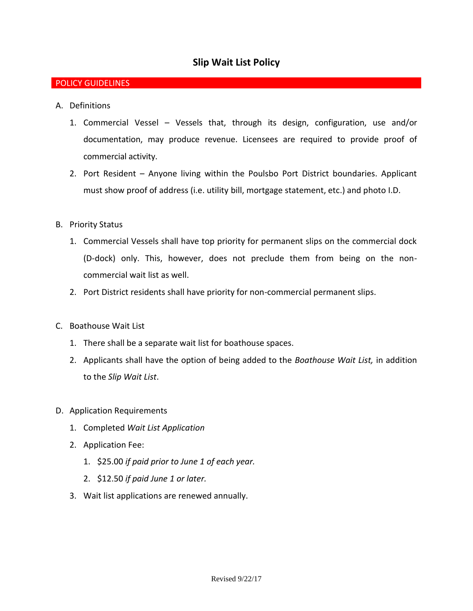## **Slip Wait List Policy**

#### POLICY GUIDELINES

- A. Definitions
	- 1. Commercial Vessel Vessels that, through its design, configuration, use and/or documentation, may produce revenue. Licensees are required to provide proof of commercial activity.
	- 2. Port Resident Anyone living within the Poulsbo Port District boundaries. Applicant must show proof of address (i.e. utility bill, mortgage statement, etc.) and photo I.D.
- B. Priority Status
	- 1. Commercial Vessels shall have top priority for permanent slips on the commercial dock (D-dock) only. This, however, does not preclude them from being on the noncommercial wait list as well.
	- 2. Port District residents shall have priority for non-commercial permanent slips.
- C. Boathouse Wait List
	- 1. There shall be a separate wait list for boathouse spaces.
	- 2. Applicants shall have the option of being added to the *Boathouse Wait List,* in addition to the *Slip Wait List*.
- D. Application Requirements
	- 1. Completed *Wait List Application*
	- 2. Application Fee:
		- 1. \$25.00 *if paid prior to June 1 of each year.*
		- 2. \$12.50 *if paid June 1 or later.*
	- 3. Wait list applications are renewed annually.